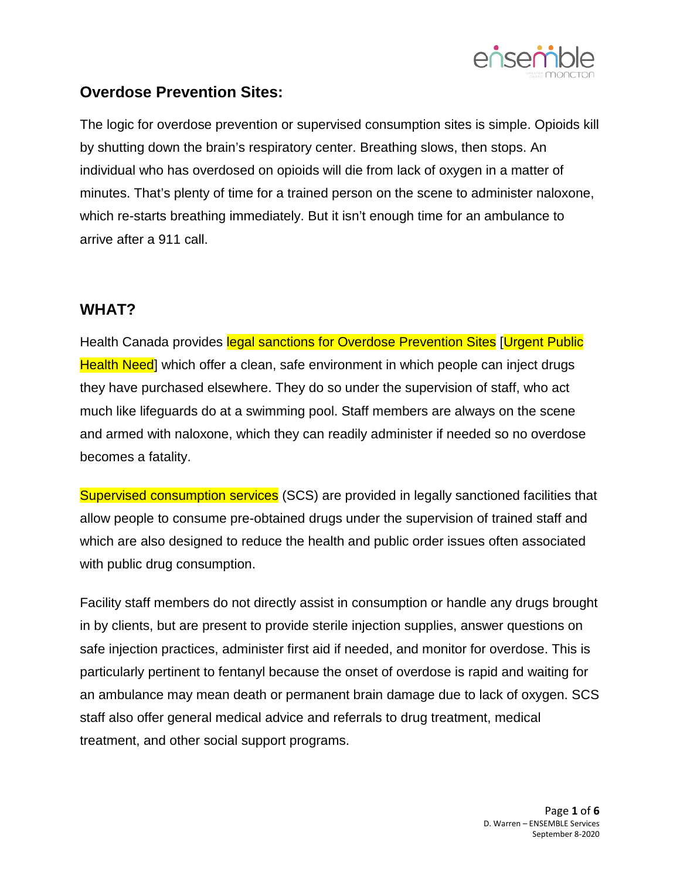

## **Overdose Prevention Sites:**

The logic for overdose prevention or supervised consumption sites is simple. Opioids kill by shutting down the brain's respiratory center. Breathing slows, then stops. An individual who has overdosed on opioids will die from lack of oxygen in a matter of minutes. That's plenty of time for a trained person on the scene to administer naloxone, which re-starts breathing immediately. But it isn't enough time for an ambulance to arrive after a 911 call.

## **WHAT?**

Health Canada provides legal sanctions for Overdose Prevention Sites [Urgent Public Health Need] which offer a clean, safe environment in which people can inject drugs they have purchased elsewhere. They do so under the supervision of staff, who act much like lifeguards do at a swimming pool. Staff members are always on the scene and armed with naloxone, which they can readily administer if needed so no overdose becomes a fatality.

Supervised consumption services (SCS) are provided in legally sanctioned facilities that allow people to consume pre-obtained drugs under the supervision of trained staff and which are also designed to reduce the health and public order issues often associated with public drug consumption.

Facility staff members do not directly assist in consumption or handle any drugs brought in by clients, but are present to provide sterile injection supplies, answer questions on safe injection practices, administer first aid if needed, and monitor for overdose. This is particularly pertinent to fentanyl because the onset of overdose is rapid and waiting for an ambulance may mean death or permanent brain damage due to lack of oxygen. SCS staff also offer general medical advice and referrals to drug treatment, medical treatment, and other social support programs.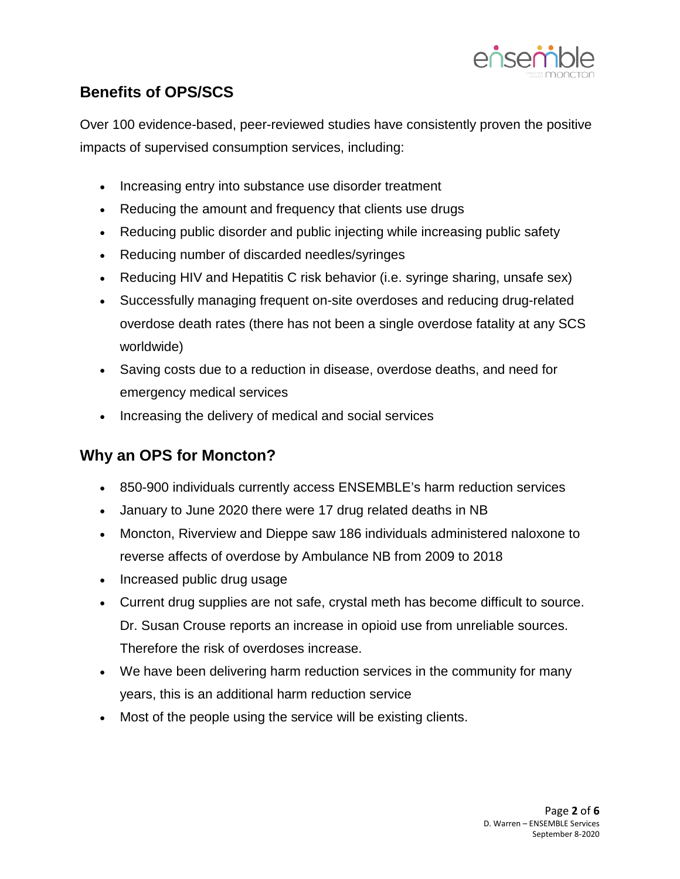

# **Benefits of OPS/SCS**

Over 100 evidence-based, peer-reviewed studies have consistently proven the positive impacts of supervised consumption services, including:

- Increasing entry into substance use disorder treatment
- Reducing the amount and frequency that clients use drugs
- Reducing public disorder and public injecting while increasing public safety
- Reducing number of discarded needles/syringes
- Reducing HIV and Hepatitis C risk behavior (i.e. syringe sharing, unsafe sex)
- Successfully managing frequent on-site overdoses and reducing drug-related overdose death rates (there has not been a single overdose fatality at any SCS worldwide)
- Saving costs due to a reduction in disease, overdose deaths, and need for emergency medical services
- Increasing the delivery of medical and social services

## **Why an OPS for Moncton?**

- 850-900 individuals currently access ENSEMBLE's harm reduction services
- January to June 2020 there were 17 drug related deaths in NB
- Moncton, Riverview and Dieppe saw 186 individuals administered naloxone to reverse affects of overdose by Ambulance NB from 2009 to 2018
- Increased public drug usage
- Current drug supplies are not safe, crystal meth has become difficult to source. Dr. Susan Crouse reports an increase in opioid use from unreliable sources. Therefore the risk of overdoses increase.
- We have been delivering harm reduction services in the community for many years, this is an additional harm reduction service
- Most of the people using the service will be existing clients.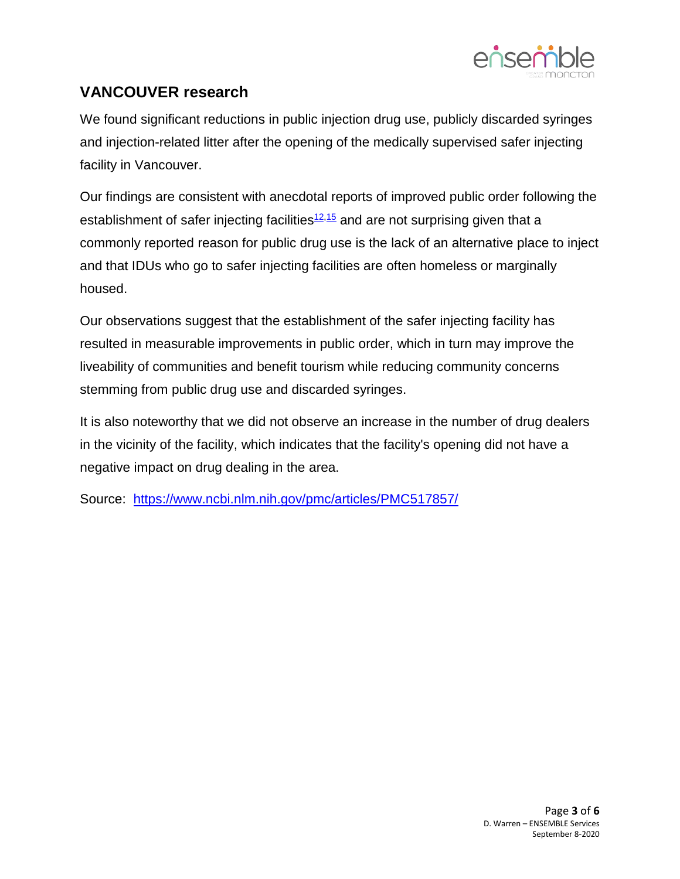

## **VANCOUVER research**

We found significant reductions in public injection drug use, publicly discarded syringes and injection-related litter after the opening of the medically supervised safer injecting facility in Vancouver.

Our findings are consistent with anecdotal reports of improved public order following the establishment of safer injecting facilities $12,15$  $12,15$  and are not surprising given that a commonly reported reason for public drug use is the lack of an alternative place to inject and that IDUs who go to safer injecting facilities are often homeless or marginally housed.

Our observations suggest that the establishment of the safer injecting facility has resulted in measurable improvements in public order, which in turn may improve the liveability of communities and benefit tourism while reducing community concerns stemming from public drug use and discarded syringes.

It is also noteworthy that we did not observe an increase in the number of drug dealers in the vicinity of the facility, which indicates that the facility's opening did not have a negative impact on drug dealing in the area.

Source: <https://www.ncbi.nlm.nih.gov/pmc/articles/PMC517857/>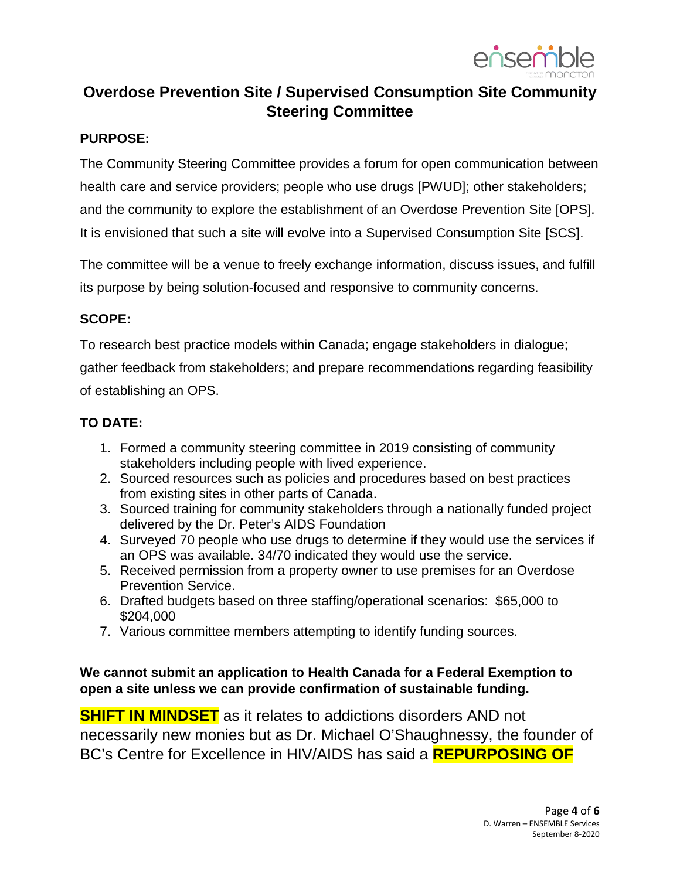

# **Overdose Prevention Site / Supervised Consumption Site Community Steering Committee**

#### **PURPOSE:**

The Community Steering Committee provides a forum for open communication between health care and service providers; people who use drugs [PWUD]; other stakeholders; and the community to explore the establishment of an Overdose Prevention Site [OPS]. It is envisioned that such a site will evolve into a Supervised Consumption Site [SCS].

The committee will be a venue to freely exchange information, discuss issues, and fulfill its purpose by being solution-focused and responsive to community concerns.

### **SCOPE:**

To research best practice models within Canada; engage stakeholders in dialogue; gather feedback from stakeholders; and prepare recommendations regarding feasibility of establishing an OPS.

#### **TO DATE:**

- 1. Formed a community steering committee in 2019 consisting of community stakeholders including people with lived experience.
- 2. Sourced resources such as policies and procedures based on best practices from existing sites in other parts of Canada.
- 3. Sourced training for community stakeholders through a nationally funded project delivered by the Dr. Peter's AIDS Foundation
- 4. Surveyed 70 people who use drugs to determine if they would use the services if an OPS was available. 34/70 indicated they would use the service.
- 5. Received permission from a property owner to use premises for an Overdose Prevention Service.
- 6. Drafted budgets based on three staffing/operational scenarios: \$65,000 to \$204,000
- 7. Various committee members attempting to identify funding sources.

### **We cannot submit an application to Health Canada for a Federal Exemption to open a site unless we can provide confirmation of sustainable funding.**

**SHIFT IN MINDSET** as it relates to addictions disorders AND not necessarily new monies but as Dr. Michael O'Shaughnessy, the founder of BC's Centre for Excellence in HIV/AIDS has said a **REPURPOSING OF**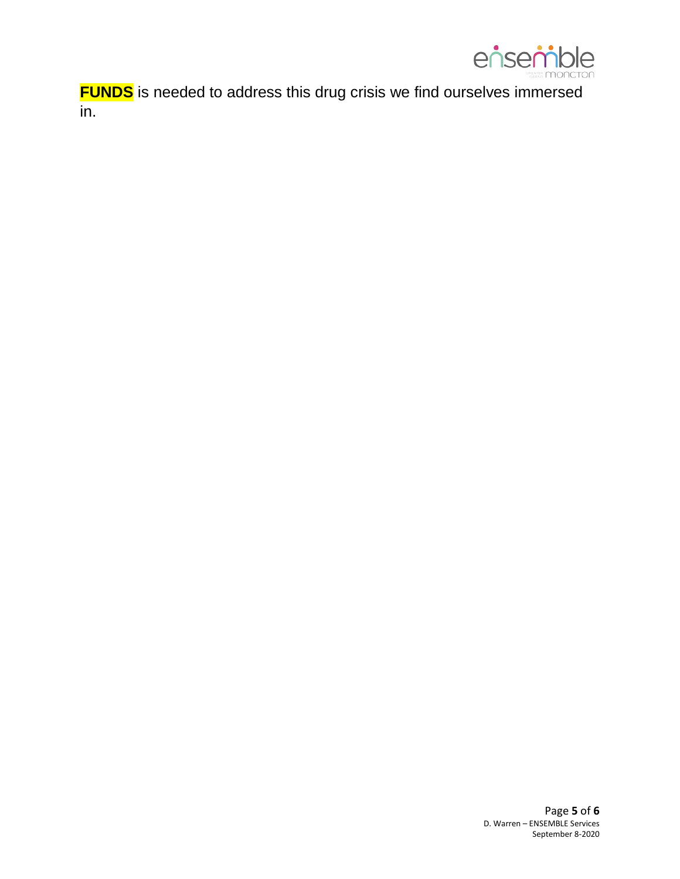

**FUNDS** is needed to address this drug crisis we find ourselves immersed in.